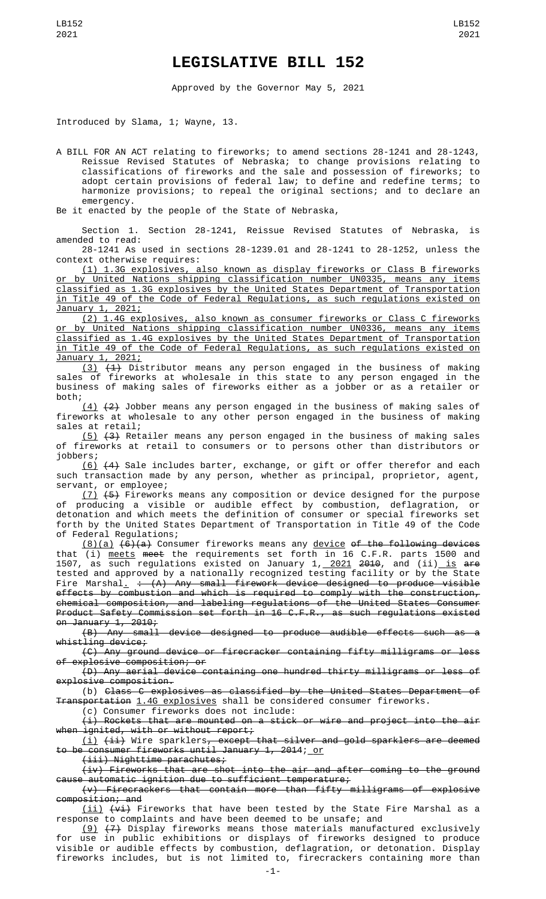## **LEGISLATIVE BILL 152**

Approved by the Governor May 5, 2021

Introduced by Slama, 1; Wayne, 13.

A BILL FOR AN ACT relating to fireworks; to amend sections 28-1241 and 28-1243, Reissue Revised Statutes of Nebraska; to change provisions relating to classifications of fireworks and the sale and possession of fireworks; to adopt certain provisions of federal law; to define and redefine terms; to harmonize provisions; to repeal the original sections; and to declare an emergency.

Be it enacted by the people of the State of Nebraska,

Section 1. Section 28-1241, Reissue Revised Statutes of Nebraska, is amended to read:

28-1241 As used in sections 28-1239.01 and 28-1241 to 28-1252, unless the context otherwise requires:

(1) 1.3G explosives, also known as display fireworks or Class B fireworks or by United Nations shipping classification number UN0335, means any items classified as 1.3G explosives by the United States Department of Transportation in Title 49 of the Code of Federal Regulations, as such regulations existed on January 1, 2021;

(2) 1.4G explosives, also known as consumer fireworks or Class C fireworks or by United Nations shipping classification number UN0336, means any items classified as 1.4G explosives by the United States Department of Transportation in Title 49 of the Code of Federal Regulations, as such regulations existed on January 1, 2021;

(3) (1) Distributor means any person engaged in the business of making sales of fireworks at wholesale in this state to any person engaged in the business of making sales of fireworks either as a jobber or as a retailer or both;

 $(4)$   $(2)$  Jobber means any person engaged in the business of making sales of fireworks at wholesale to any other person engaged in the business of making sales at retail;

(5) (3) Retailer means any person engaged in the business of making sales of fireworks at retail to consumers or to persons other than distributors or jobbers;

(6) (4) Sale includes barter, exchange, or gift or offer therefor and each such transaction made by any person, whether as principal, proprietor, agent, servant, or employee;

(7) (5) Fireworks means any composition or device designed for the purpose of producing a visible or audible effect by combustion, deflagration, or detonation and which meets the definition of consumer or special fireworks set forth by the United States Department of Transportation in Title 49 of the Code of Federal Regulations;

(8)(a)  $(6)(a)$  Consumer fireworks means any device of the following devices that (i) <u>meets</u> <del>meet</del> the requirements set forth in 16 C.F.R. parts 1500 and 1507, as such regulations existed on January 1,<u> 2021</u> <del>2010</del>, and (ii)\_<u>is</u> <del>are</del> tested and approved by a nationally recognized testing facility or by the State Fire Marshal<u>.</u> <del>: (A) Any small firework device designed to produce visible</del> effects by combustion and which is required to comply with the construction, chemical composition, and labeling regulations of the United States Consumer Product Safety Commission set forth in 16 C.F.R., as such regulations existed on January 1, 2010;<br>(B) Any small

device designed to produce audible effects such as a whistling device;

(C) Any ground device or firecracker containing fifty milligrams or less explosive composition; or

(D) Any aerial device containing one hundred thirty milligrams or less of explosive composition.

(b) Class C explosives as classified by the United States Department of Transportation 1.4G explosives shall be considered consumer fireworks.

(c) Consumer fireworks does not include:

(i) Rockets that are mounted on a stick or wire and project into the air when ignited, with or without report;

(i) (ii) Wire sparklers, except that silver and gold sparklers are deemed to be consumer fireworks until January 1, 2014; or

(iii) Nighttime parachutes;

(iv) Fireworks that are shot into the air and after coming to the ground cause automatic ignition due to sufficient temperature;

(v) Firecrackers that contain more than fifty milligrams of explosive composition; and

(ii) (vi) Fireworks that have been tested by the State Fire Marshal as a response to complaints and have been deemed to be unsafe; and

(9) (7) Display fireworks means those materials manufactured exclusively for use in public exhibitions or displays of fireworks designed to produce visible or audible effects by combustion, deflagration, or detonation. Display fireworks includes, but is not limited to, firecrackers containing more than